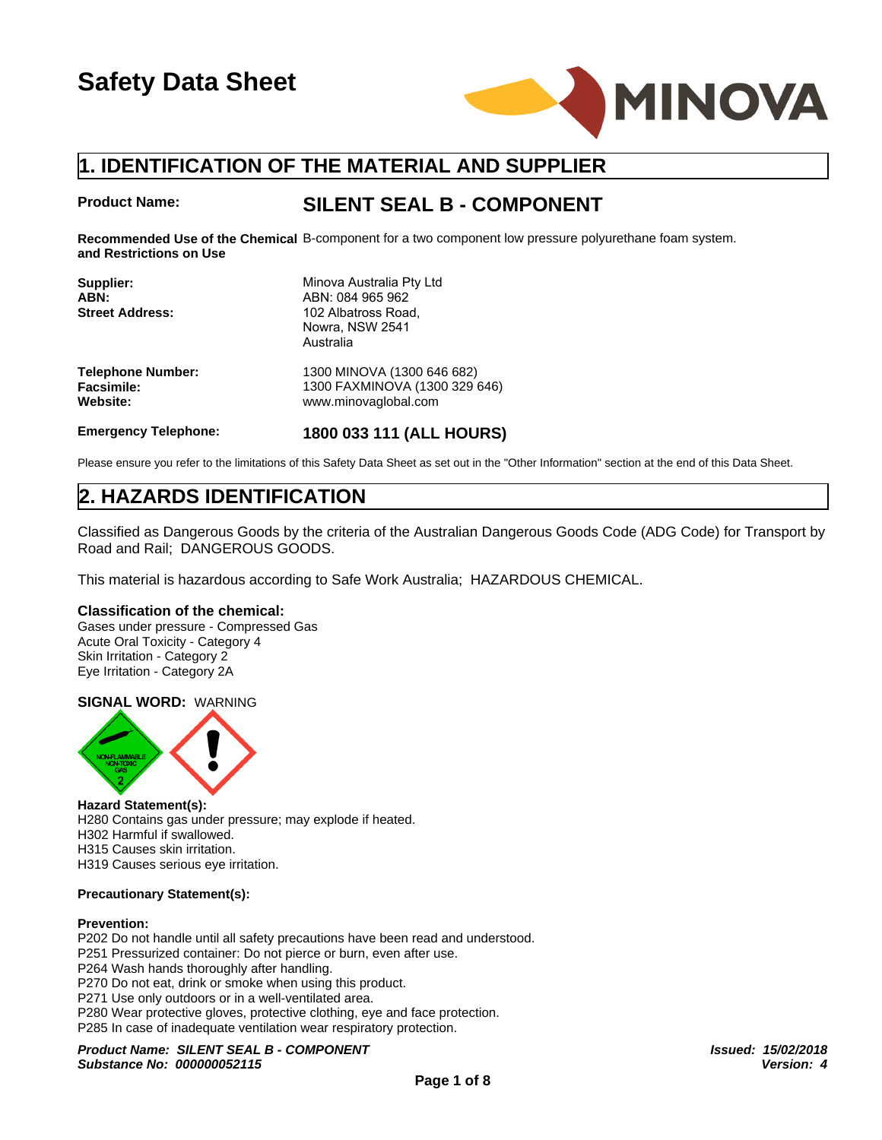

#### **Product Name:**

# **SILENT SEAL B - COMPONENT**

Recommended Use of the Chemical B-component for a two component low pressure polyurethane foam system. **and Restrictions on Use**

| <b>Product Name:</b>                                      | <b>SILENT SEAL B - COMPONENT</b>                                                                                   |
|-----------------------------------------------------------|--------------------------------------------------------------------------------------------------------------------|
| and Restrictions on Use                                   | Recommended Use of the Chemical B-component for a two component low pressure polyuretha                            |
| Supplier:<br>ABN:<br><b>Street Address:</b>               | Minova Australia Pty Ltd<br>ABN: 084 965 962<br>102 Albatross Road,<br>Nowra, NSW 2541<br>Australia                |
| <b>Telephone Number:</b><br><b>Facsimile:</b><br>Website: | 1300 MINOVA (1300 646 682)<br>1300 FAXMINOVA (1300 329 646)<br>www.minovaglobal.com                                |
| <b>Emergency Telephone:</b>                               | 1800 033 111 (ALL HOURS)                                                                                           |
|                                                           | Please ensure you refer to the limitations of this Safety Data Sheet as set out in the "Other Information" section |
| <b>2. HAZARDS IDENTIFICATION</b>                          |                                                                                                                    |
| Road and Rail; DANGEROUS GOODS.                           | Classified as Dangerous Goods by the criteria of the Australian Dangerous Goods Code                               |
|                                                           | This material is bazardous asserding to Safo Work Australia: UAZARDOLIS CHEMICAL                                   |

Please ensure you refer to the limitations of this Safety Data Sheet as set out in the "Other Information" section at the end of this Data Sheet.

Classified as Dangerous Goods by the criteria of the Australian Dangerous Goods Code (ADG Code) for Transport by Road and Rail; DANGEROUS GOODS.

This material is hazardous according to Safe Work Australia; HAZARDOUS CHEMICAL.

#### **Classification of the chemical:**

Gases under pressure - Compressed Gas Acute Oral Toxicity - Category 4 Skin Irritation - Category 2 Eye Irritation - Category 2A

#### **SIGNAL WORD:** WARNING



**Hazard Statement(s):** H280 Contains gas under pressure; may explode if heated. H302 Harmful if swallowed. H315 Causes skin irritation. H319 Causes serious eye irritation.

#### **Precautionary Statement(s):**

#### **Prevention:**

P202 Do not handle until all safety precautions have been read and understood. P251 Pressurized container: Do not pierce or burn, even after use. P264 Wash hands thoroughly after handling. P270 Do not eat, drink or smoke when using this product. P271 Use only outdoors or in a well-ventilated area. P280 Wear protective gloves, protective clothing, eye and face protection. P285 In case of inadequate ventilation wear respiratory protection.

*Product Name: SILENT SEAL B - COMPONENT Issued: 15/02/2018 Substance No: 000000052115*

*Version: 4*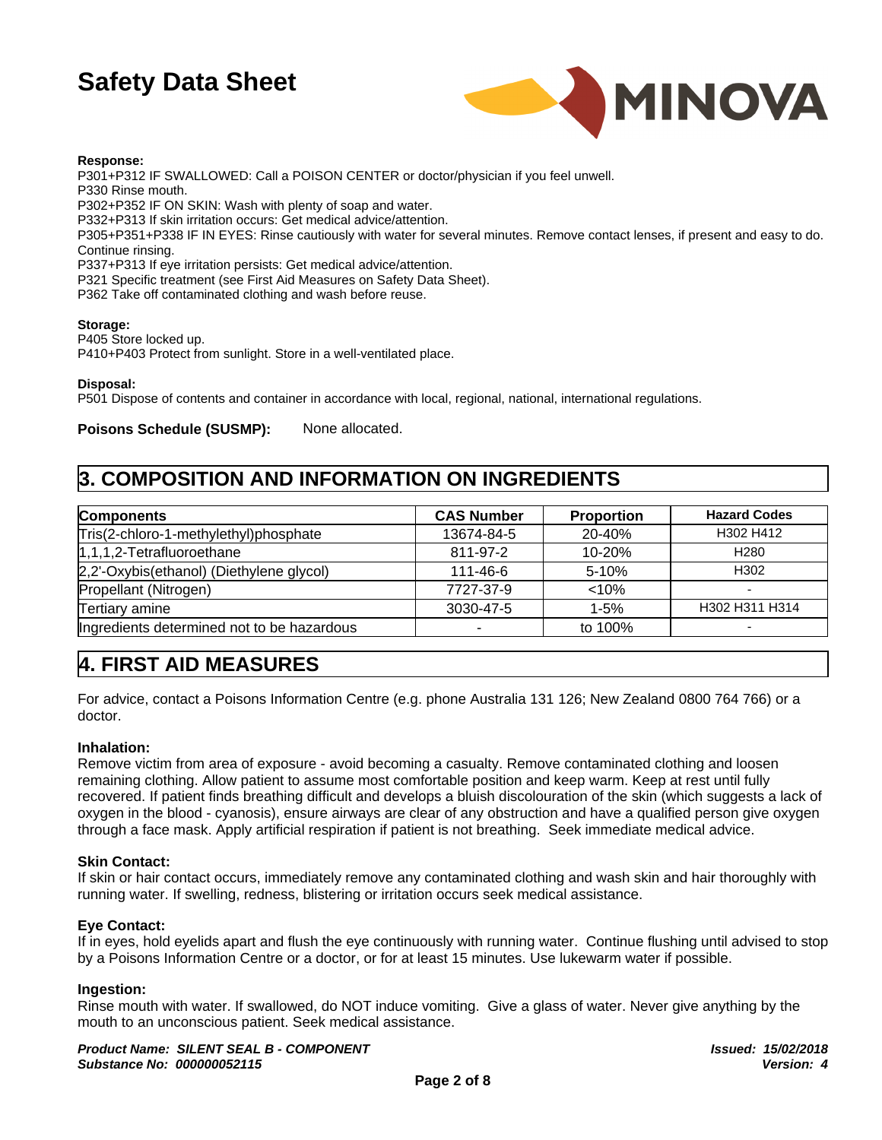

#### **Response:**

P301+P312 IF SWALLOWED: Call a POISON CENTER or doctor/physician if you feel unwell. P330 Rinse mouth. P302+P352 IF ON SKIN: Wash with plenty of soap and water. P332+P313 If skin irritation occurs: Get medical advice/attention. P305+P351+P338 IF IN EYES: Rinse cautiously with water for several minutes. Remove contact lenses, if present and easy to do. Continue rinsing. P337+P313 If eye irritation persists: Get medical advice/attention. P321 Specific treatment (see First Aid Measures on Safety Data Sheet).

P362 Take off contaminated clothing and wash before reuse.

#### **Storage:**

P405 Store locked up.

P410+P403 Protect from sunlight. Store in a well-ventilated place.

**Disposal:**

P501 Dispose of contents and container in accordance with local, regional, national, international regulations.

**Poisons Schedule (SUSMP):** None allocated.

### **3. COMPOSITION AND INFORMATION ON INGREDIENTS**

| <b>Components</b>                          | <b>CAS Number</b> | <b>Proportion</b> | <b>Hazard Codes</b> |
|--------------------------------------------|-------------------|-------------------|---------------------|
| Tris(2-chloro-1-methylethyl)phosphate      | 13674-84-5        | 20-40%            | H302 H412           |
| $ 1,1,1,2$ -Tetrafluoroethane              | 811-97-2          | $10 - 20%$        | H <sub>280</sub>    |
| 2,2'-Oxybis(ethanol) (Diethylene glycol)   | 111-46-6          | 5-10%             | H <sub>302</sub>    |
| Propellant (Nitrogen)                      | 7727-37-9         | < 10%             |                     |
| Tertiary amine                             | 3030-47-5         | $1 - 5%$          | H302 H311 H314      |
| Ingredients determined not to be hazardous |                   | to 100%           |                     |

# **4. FIRST AID MEASURES**

For advice, contact a Poisons Information Centre (e.g. phone Australia 131 126; New Zealand 0800 764 766) or a doctor.

#### **Inhalation:**

Remove victim from area of exposure - avoid becoming a casualty. Remove contaminated clothing and loosen remaining clothing. Allow patient to assume most comfortable position and keep warm. Keep at rest until fully recovered. If patient finds breathing difficult and develops a bluish discolouration of the skin (which suggests a lack of oxygen in the blood - cyanosis), ensure airways are clear of any obstruction and have a qualified person give oxygen through a face mask. Apply artificial respiration if patient is not breathing. Seek immediate medical advice.

#### **Skin Contact:**

If skin or hair contact occurs, immediately remove any contaminated clothing and wash skin and hair thoroughly with running water. If swelling, redness, blistering or irritation occurs seek medical assistance.

#### **Eye Contact:**

If in eyes, hold eyelids apart and flush the eye continuously with running water. Continue flushing until advised to stop by a Poisons Information Centre or a doctor, or for at least 15 minutes. Use lukewarm water if possible.

#### **Ingestion:**

Rinse mouth with water. If swallowed, do NOT induce vomiting. Give a glass of water. Never give anything by the mouth to an unconscious patient. Seek medical assistance.

*Product Name: SILENT SEAL B - COMPONENT Substance No: 000000052115*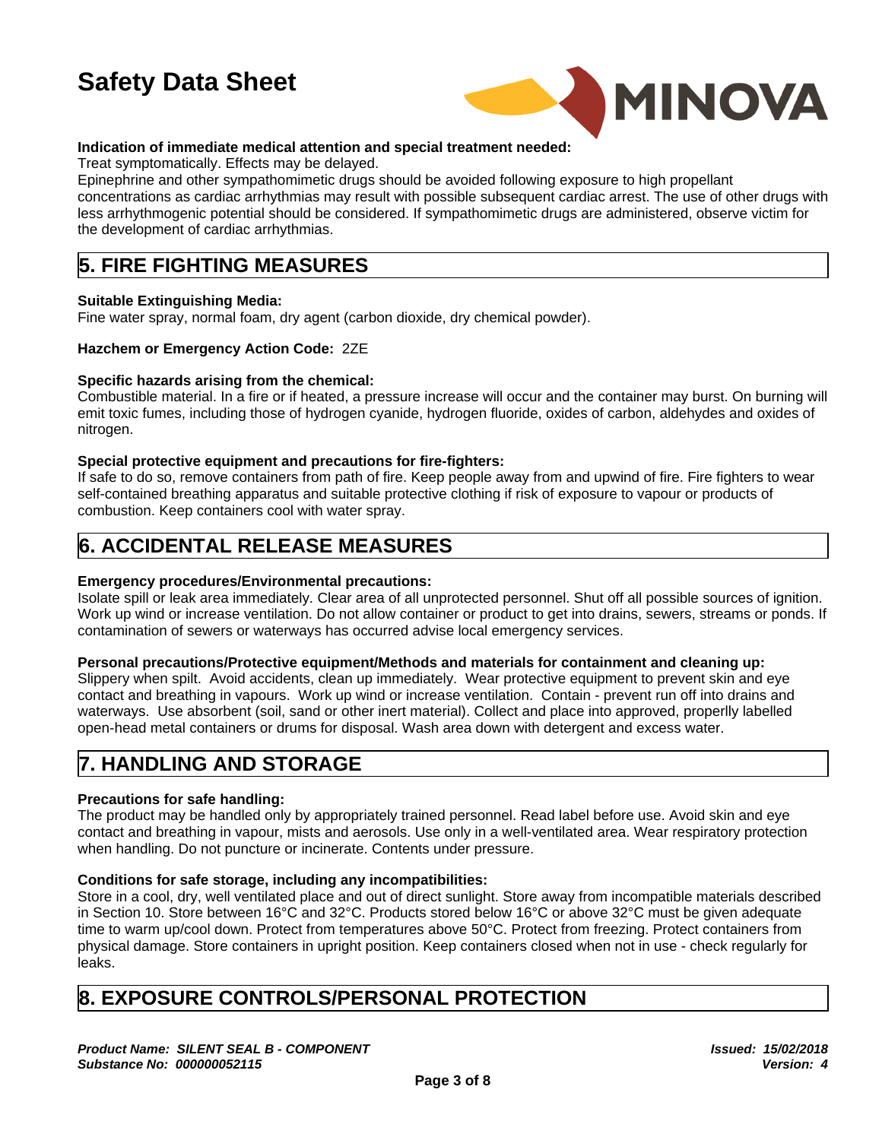

### **Indication of immediate medical attention and special treatment needed:**

Treat symptomatically. Effects may be delayed.

Epinephrine and other sympathomimetic drugs should be avoided following exposure to high propellant concentrations as cardiac arrhythmias may result with possible subsequent cardiac arrest. The use of other drugs with less arrhythmogenic potential should be considered. If sympathomimetic drugs are administered, observe victim for the development of cardiac arrhythmias.

# **5. FIRE FIGHTING MEASURES**

#### **Suitable Extinguishing Media:**

Fine water spray, normal foam, dry agent (carbon dioxide, dry chemical powder).

#### **Hazchem or Emergency Action Code:** 2ZE

#### **Specific hazards arising from the chemical:**

Combustible material. In a fire or if heated, a pressure increase will occur and the container may burst. On burning will emit toxic fumes, including those of hydrogen cyanide, hydrogen fluoride, oxides of carbon, aldehydes and oxides of nitrogen.

#### **Special protective equipment and precautions for fire-fighters:**

If safe to do so, remove containers from path of fire. Keep people away from and upwind of fire. Fire fighters to wear self-contained breathing apparatus and suitable protective clothing if risk of exposure to vapour or products of combustion. Keep containers cool with water spray.

# **6. ACCIDENTAL RELEASE MEASURES**

#### **Emergency procedures/Environmental precautions:**

Isolate spill or leak area immediately. Clear area of all unprotected personnel. Shut off all possible sources of ignition. Work up wind or increase ventilation. Do not allow container or product to get into drains, sewers, streams or ponds. If contamination of sewers or waterways has occurred advise local emergency services.

#### **Personal precautions/Protective equipment/Methods and materials for containment and cleaning up:**

Slippery when spilt. Avoid accidents, clean up immediately. Wear protective equipment to prevent skin and eye contact and breathing in vapours. Work up wind or increase ventilation. Contain - prevent run off into drains and waterways. Use absorbent (soil, sand or other inert material). Collect and place into approved, properlly labelled open-head metal containers or drums for disposal. Wash area down with detergent and excess water.

## **7. HANDLING AND STORAGE**

### **Precautions for safe handling:**

The product may be handled only by appropriately trained personnel. Read label before use. Avoid skin and eye contact and breathing in vapour, mists and aerosols. Use only in a well-ventilated area. Wear respiratory protection when handling. Do not puncture or incinerate. Contents under pressure.

#### **Conditions for safe storage, including any incompatibilities:**

Store in a cool, dry, well ventilated place and out of direct sunlight. Store away from incompatible materials described in Section 10.Store between 16°C and 32°C. Products stored below 16°C or above 32°C must be given adequate time to warm up/cool down. Protect from temperatures above 50°C. Protect from freezing. Protect containers from physical damage. Store containers in upright position. Keep containers closed when not in use - check regularly for leaks.

## **8. EXPOSURE CONTROLS/PERSONAL PROTECTION**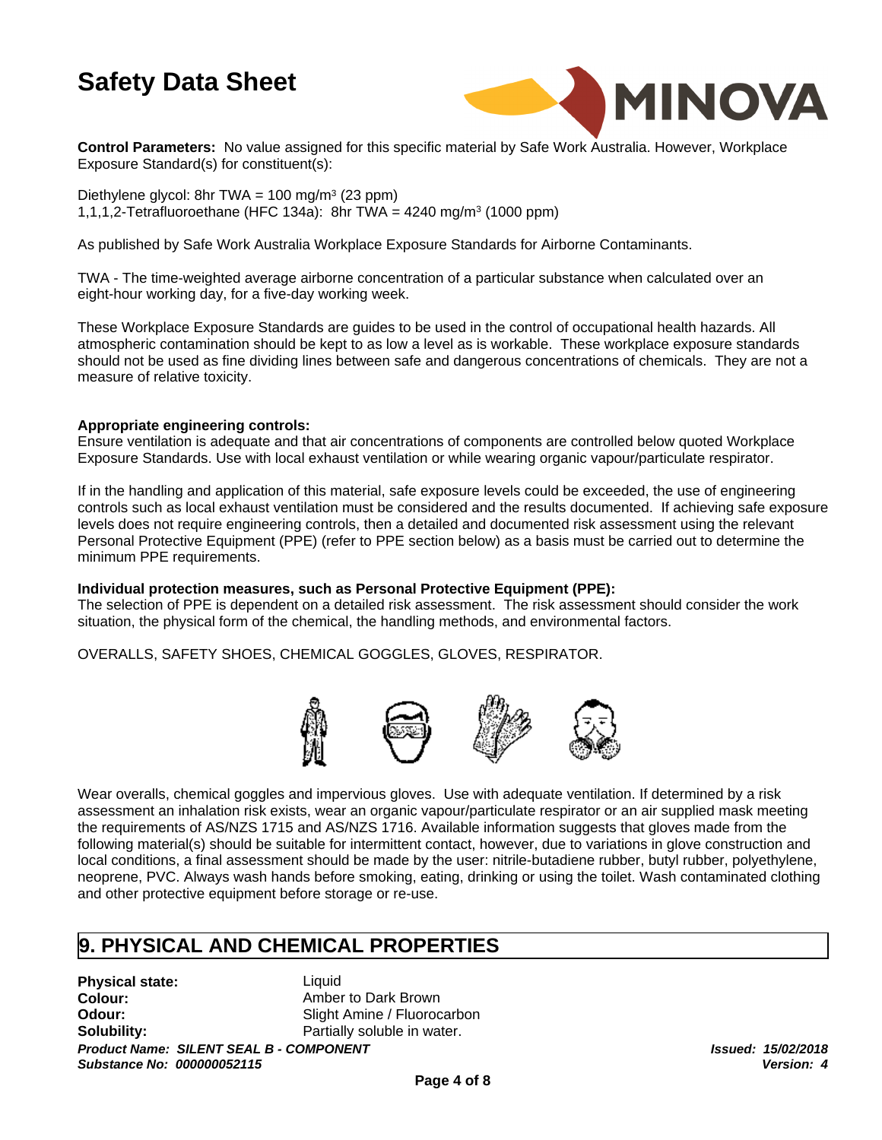

**Control Parameters:** No value assigned for this specific material by Safe Work Australia. However, Workplace Exposure Standard(s) for constituent(s):

Diethylene glycol: 8hr TWA = 100 mg/m<sup>3</sup> (23 ppm) 1,1,1,2-Tetrafluoroethane (HFC 134a): 8hr TWA = 4240 mg/m<sup>3</sup> (1000 ppm)

As published by Safe Work Australia Workplace Exposure Standards for Airborne Contaminants.

TWA - The time-weighted average airborne concentration of a particular substance when calculated over an eight-hour working day, for a five-day working week.

These Workplace Exposure Standards are guides to be used in the control of occupational health hazards. All atmospheric contamination should be kept to as low a level as is workable. These workplace exposure standards should not be used as fine dividing lines between safe and dangerous concentrations of chemicals. They are not a measure of relative toxicity.

#### **Appropriate engineering controls:**

Ensure ventilation is adequate and that air concentrations of components are controlled below quoted Workplace Exposure Standards. Use with local exhaust ventilation or while wearing organic vapour/particulate respirator.

If in the handling and application of this material, safe exposure levels could be exceeded, the use of engineering controls such as local exhaust ventilation must be considered and the results documented. If achieving safe exposure levels does not require engineering controls, then a detailed and documented risk assessment using the relevant Personal Protective Equipment (PPE) (refer to PPE section below) as a basis must be carried out to determine the minimum PPE requirements.

#### **Individual protection measures, such as Personal Protective Equipment (PPE):**

The selection of PPE is dependent on a detailed risk assessment. The risk assessment should consider the work situation, the physical form of the chemical, the handling methods, and environmental factors.

OVERALLS, SAFETY SHOES, CHEMICAL GOGGLES, GLOVES, RESPIRATOR.



Wear overalls, chemical goggles and impervious gloves. Use with adequate ventilation. If determined by a risk assessment an inhalation risk exists, wear an organic vapour/particulate respirator or an air supplied mask meeting the requirements of AS/NZS 1715 and AS/NZS 1716. Available information suggests that gloves made from the following material(s) should be suitable for intermittent contact, however, due to variations in glove construction and local conditions, a final assessment should be made by the user: nitrile-butadiene rubber, butyl rubber, polyethylene, neoprene, PVC. Always wash hands before smoking, eating, drinking or using the toilet. Wash contaminated clothing and other protective equipment before storage or re-use.

## **9. PHYSICAL AND CHEMICAL PROPERTIES**

**Physical state:**

Liquid **Colour:** Amber to Dark Brown **Odour:** Slight Amine / Fluorocarbon **Solubility:** Partially soluble in water.

*Product Name: SILENT SEAL B - COMPONENT Substance No: 000000052115*

*Issued: 15/02/2018 Version: 4*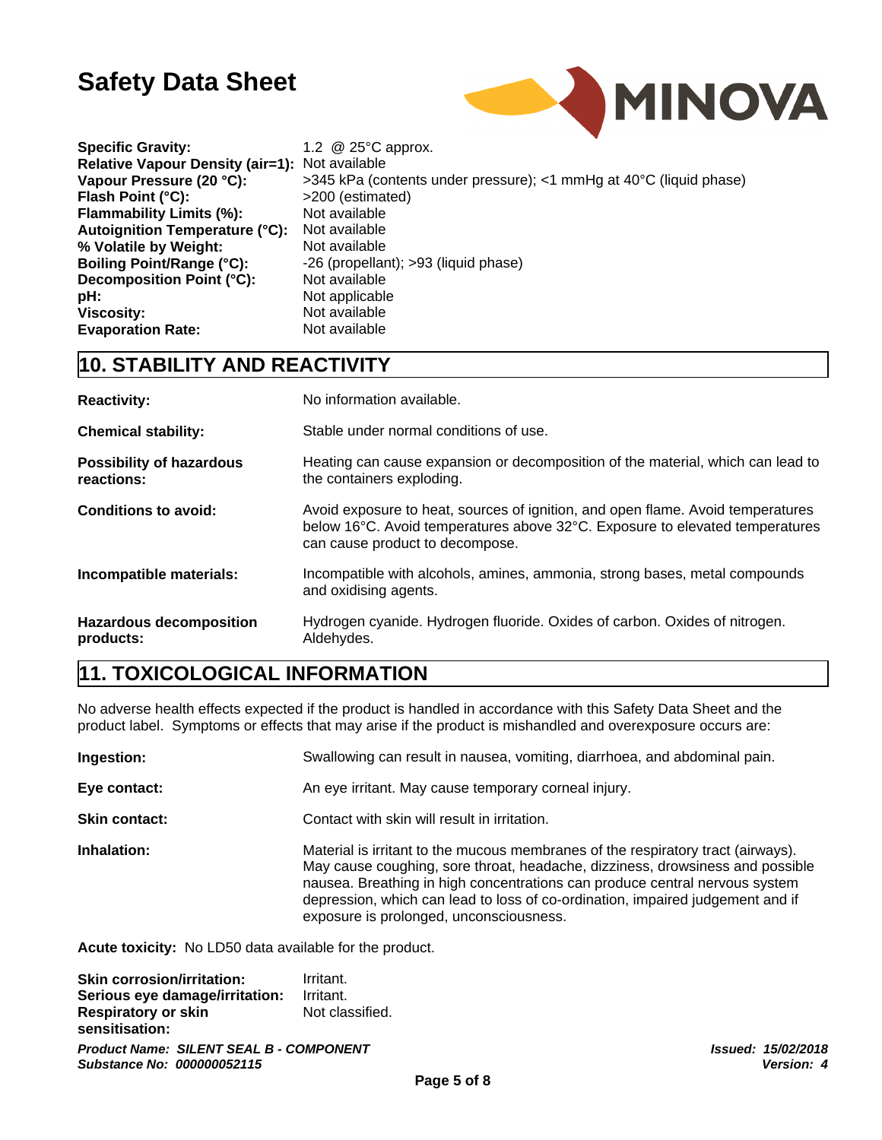

| <b>Specific Gravity:</b>                       | 1.2 @ 25°C approx.                             |
|------------------------------------------------|------------------------------------------------|
| Relative Vapour Density (air=1): Not available |                                                |
| Vapour Pressure (20 °C):                       | >345 kPa (contents under pressure); <1 mmHg at |
| Flash Point (°C):                              | >200 (estimated)                               |
| <b>Flammability Limits (%):</b>                | Not available                                  |
| Autoignition Temperature (°C):                 | Not available                                  |
| % Volatile by Weight:                          | Not available                                  |
| <b>Boiling Point/Range (°C):</b>               | -26 (propellant); >93 (liquid phase)           |
| Decomposition Point (°C):                      | Not available                                  |
| pH:                                            | Not applicable                                 |
| <b>Viscosity:</b>                              | Not available                                  |
| <b>Evaporation Rate:</b>                       | Not available                                  |

**Prancisal** *Pressure*  $(2, 4, 4)$  mmHg at 40°C (liquid phase) **Boiling Point/Range (°C):** -26 (propellant); >93 (liquid phase)

## **10. STABILITY AND REACTIVITY**

| <b>Reactivity:</b>                            | No information available.                                                                                                                                                                          |
|-----------------------------------------------|----------------------------------------------------------------------------------------------------------------------------------------------------------------------------------------------------|
| <b>Chemical stability:</b>                    | Stable under normal conditions of use.                                                                                                                                                             |
| <b>Possibility of hazardous</b><br>reactions: | Heating can cause expansion or decomposition of the material, which can lead to<br>the containers exploding.                                                                                       |
| <b>Conditions to avoid:</b>                   | Avoid exposure to heat, sources of ignition, and open flame. Avoid temperatures<br>below 16°C. Avoid temperatures above 32°C. Exposure to elevated temperatures<br>can cause product to decompose. |
| Incompatible materials:                       | Incompatible with alcohols, amines, ammonia, strong bases, metal compounds<br>and oxidising agents.                                                                                                |
| <b>Hazardous decomposition</b><br>products:   | Hydrogen cyanide. Hydrogen fluoride. Oxides of carbon. Oxides of nitrogen.<br>Aldehydes.                                                                                                           |

# **11. TOXICOLOGICAL INFORMATION**

No adverse health effects expected if the product is handled in accordance with this Safety Data Sheet and the product label. Symptoms or effects that may arise if the product is mishandled and overexposure occurs are:

| Ingestion:           | Swallowing can result in nausea, vomiting, diarrhoea, and abdominal pain.                                                                                                                                                                                                                                                                                                     |
|----------------------|-------------------------------------------------------------------------------------------------------------------------------------------------------------------------------------------------------------------------------------------------------------------------------------------------------------------------------------------------------------------------------|
| Eye contact:         | An eye irritant. May cause temporary corneal injury.                                                                                                                                                                                                                                                                                                                          |
| <b>Skin contact:</b> | Contact with skin will result in irritation.                                                                                                                                                                                                                                                                                                                                  |
| Inhalation:          | Material is irritant to the mucous membranes of the respiratory tract (airways).<br>May cause coughing, sore throat, headache, dizziness, drowsiness and possible<br>nausea. Breathing in high concentrations can produce central nervous system<br>depression, which can lead to loss of co-ordination, impaired judgement and if<br>exposure is prolonged, unconsciousness. |

**Acute toxicity:** No LD50 data available for the product.

**Skin corrosion/irritation:** Irritant. **Serious eye damage/irritation:** Irritant. **Respiratory or skin sensitisation:** Not classified.

*Product Name: SILENT SEAL B - COMPONENT Issued: 15/02/2018 Substance No: 000000052115*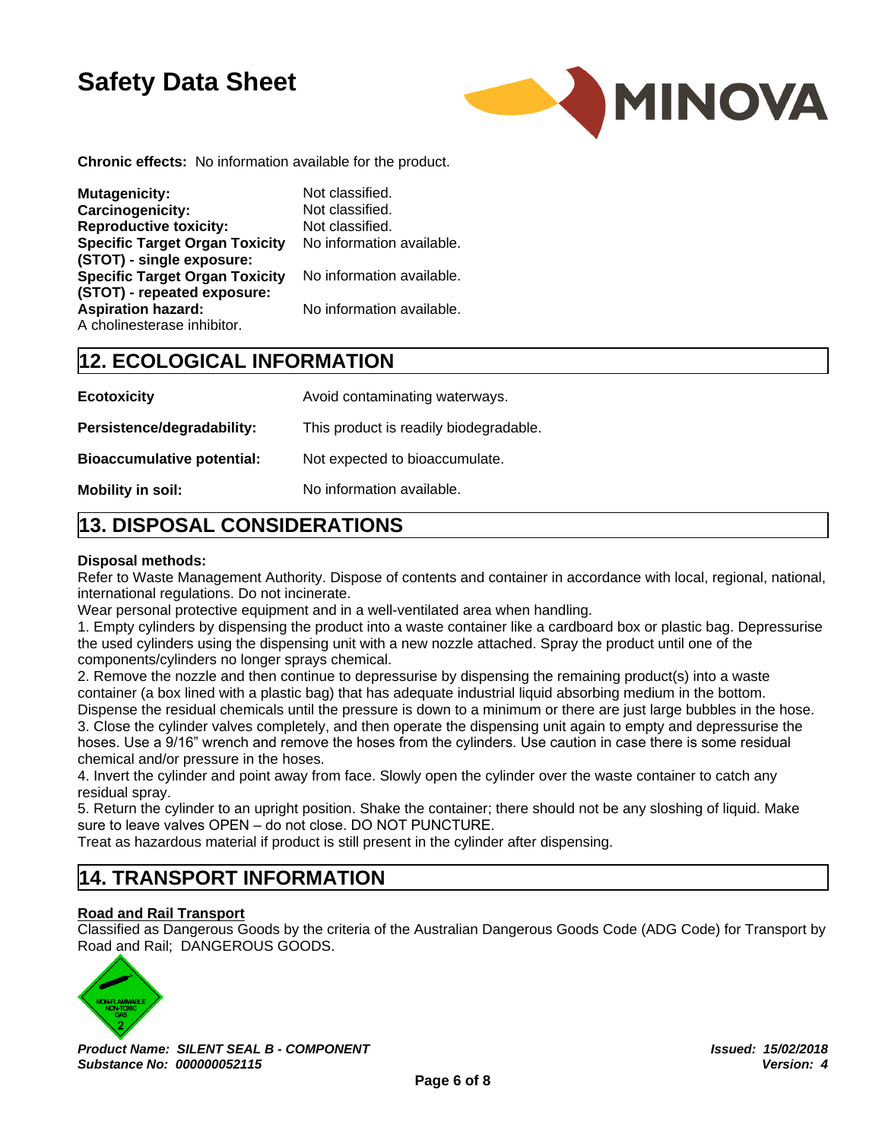

**Chronic effects:** No information available for the product.

| <b>Mutagenicity:</b>                                                 | Not classified.           |
|----------------------------------------------------------------------|---------------------------|
| <b>Carcinogenicity:</b>                                              | Not classified.           |
| <b>Reproductive toxicity:</b>                                        | Not classified.           |
| <b>Specific Target Organ Toxicity</b><br>(STOT) - single exposure:   | No information available. |
| <b>Specific Target Organ Toxicity</b><br>(STOT) - repeated exposure: | No information available. |
| <b>Aspiration hazard:</b><br>A cholinesterase inhibitor.             | No information available. |

# **12. ECOLOGICAL INFORMATION**

| <b>Ecotoxicity</b>                | Avoid contaminating waterways.         |
|-----------------------------------|----------------------------------------|
| Persistence/degradability:        | This product is readily biodegradable. |
| <b>Bioaccumulative potential:</b> | Not expected to bioaccumulate.         |
| Mobility in soil:                 | No information available.              |

# **13. DISPOSAL CONSIDERATIONS**

#### **Disposal methods:**

Refer to Waste Management Authority. Dispose of contents and container in accordance with local, regional, national, international regulations. Do not incinerate.

Wear personal protective equipment and in a well-ventilated area when handling.

1. Empty cylinders by dispensing the product into a waste container like a cardboard box or plastic bag. Depressurise the used cylinders using the dispensing unit with a new nozzle attached. Spray the product until one of the components/cylinders no longer sprays chemical.

2. Remove the nozzle and then continue to depressurise by dispensing the remaining product(s) into a waste container (a box lined with a plastic bag) that has adequate industrial liquid absorbing medium in the bottom. Dispense the residual chemicals until the pressure is down to a minimum or there are just large bubbles in the hose. 3. Close the cylinder valves completely, and then operate the dispensing unit again to empty and depressurise the

hoses. Use a 9/16" wrench and remove the hoses from the cylinders. Use caution in case there is some residual chemical and/or pressure in the hoses.

4. Invert the cylinder and point away from face. Slowly open the cylinder over the waste container to catch any residual spray.

5. Return the cylinder to an upright position. Shake the container; there should not be any sloshing of liquid. Make sure to leave valves OPEN – do not close. DO NOT PUNCTURE.

Treat as hazardous material if product is still present in the cylinder after dispensing.

## **14. TRANSPORT INFORMATION**

#### **Road and Rail Transport**

Classified as Dangerous Goods by the criteria of the Australian Dangerous Goods Code (ADG Code) for Transport by Road and Rail; DANGEROUS GOODS.



*Product Name: SILENT SEAL B - COMPONENT Substance No: 000000052115*

*Issued: 15/02/2018 Version: 4*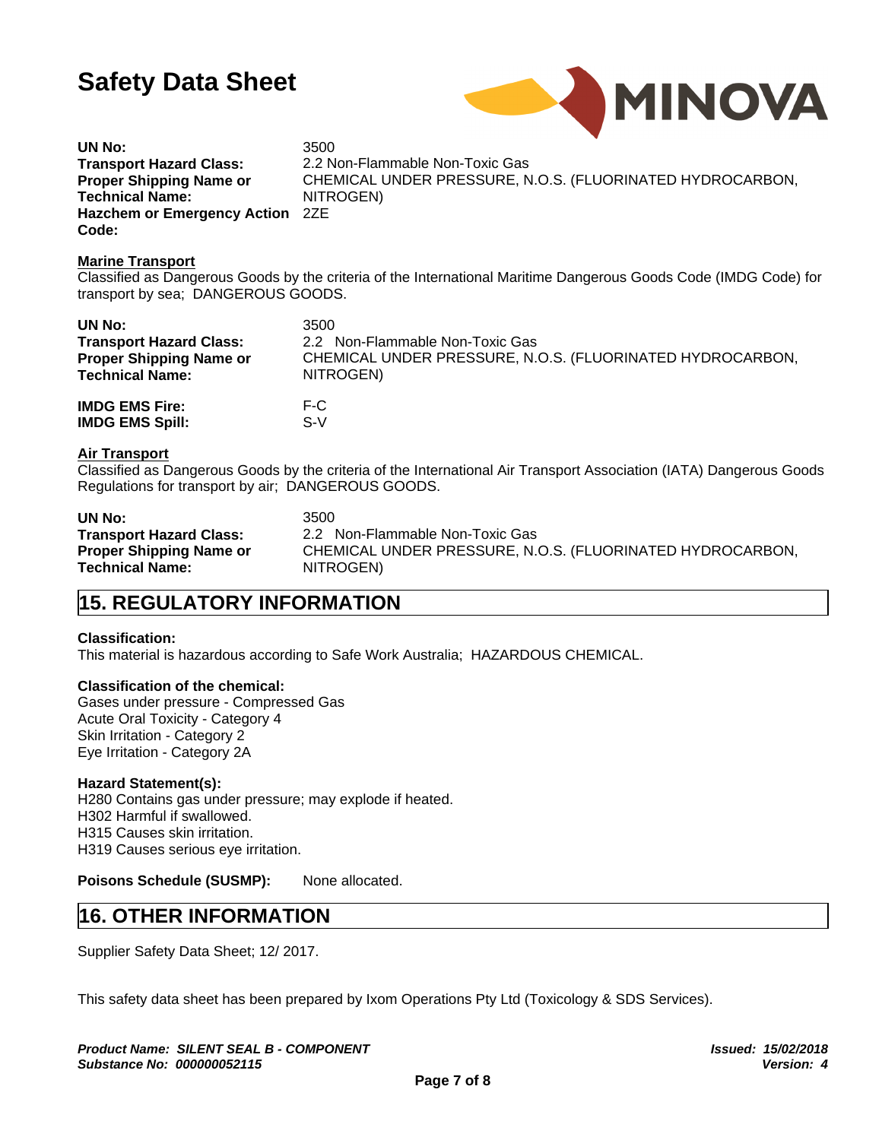

**UN No:** 3500 **Transport Hazard Class:** 2.2 Non-Flammable Non-Toxic Gas **Proper Shipping Name or Technical Name: Hazchem or Emergency Action** 2ZE **Code:**

CHEMICAL UNDER PRESSURE, N.O.S. (FLUORINATED HYDROCARBON, NITROGEN)

#### **Marine Transport**

Classified as Dangerous Goods by the criteria of the International Maritime Dangerous Goods Code (IMDG Code) for transport by sea; DANGEROUS GOODS.

| UN No:                         | 3500                                                      |
|--------------------------------|-----------------------------------------------------------|
| <b>Transport Hazard Class:</b> | 2.2 Non-Flammable Non-Toxic Gas                           |
| <b>Proper Shipping Name or</b> | CHEMICAL UNDER PRESSURE, N.O.S. (FLUORINATED HYDROCARBON, |
| <b>Technical Name:</b>         | NITROGEN)                                                 |
| <b>IMDG EMS Fire:</b>          | F-C                                                       |
| <b>IMDG EMS Spill:</b>         | S-V                                                       |

#### **Air Transport**

Classified as Dangerous Goods by the criteria of the International Air Transport Association (IATA) Dangerous Goods Regulations for transport by air; DANGEROUS GOODS.

| UN No:                         | 3500                                                      |
|--------------------------------|-----------------------------------------------------------|
| <b>Transport Hazard Class:</b> | 2.2 Non-Flammable Non-Toxic Gas                           |
| <b>Proper Shipping Name or</b> | CHEMICAL UNDER PRESSURE, N.O.S. (FLUORINATED HYDROCARBON, |
| <b>Technical Name:</b>         | NITROGEN)                                                 |

## **15. REGULATORY INFORMATION**

#### **Classification:**

This material is hazardous according to Safe Work Australia; HAZARDOUS CHEMICAL.

#### **Classification of the chemical:**

Gases under pressure - Compressed Gas Acute Oral Toxicity - Category 4 Skin Irritation - Category 2 Eye Irritation - Category 2A

### **Hazard Statement(s):**

H280 Contains gas under pressure; may explode if heated. H302 Harmful if swallowed. H315 Causes skin irritation. H319 Causes serious eye irritation.

**Poisons Schedule (SUSMP):** None allocated.

## **16. OTHER INFORMATION**

Supplier Safety Data Sheet; 12/ 2017.

This safety data sheet has been prepared by Ixom Operations Pty Ltd (Toxicology & SDS Services).